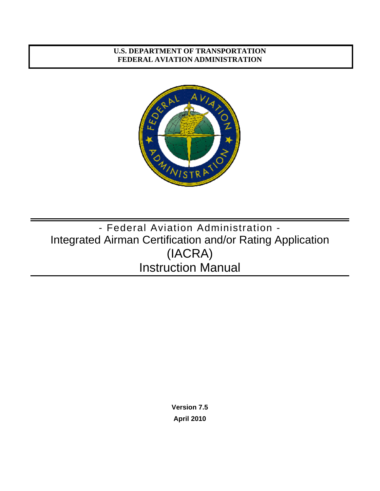### <span id="page-0-0"></span>**U.S. DEPARTMENT OF TRANSPORTATION FEDERAL AVIATION ADMINISTRATION**



# - Federal Aviation Administration - Integrated Airman Certification and/or Rating Application (IACRA) Instruction Manual

**Version 7.5 April 2010**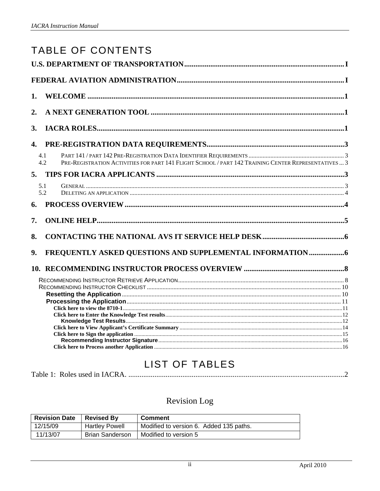|    | <b>TABLE OF CONTENTS</b>                                                                                                                                                                                                            |  |
|----|-------------------------------------------------------------------------------------------------------------------------------------------------------------------------------------------------------------------------------------|--|
|    |                                                                                                                                                                                                                                     |  |
|    |                                                                                                                                                                                                                                     |  |
| 1. |                                                                                                                                                                                                                                     |  |
|    |                                                                                                                                                                                                                                     |  |
| 2. |                                                                                                                                                                                                                                     |  |
| 3. |                                                                                                                                                                                                                                     |  |
| 4. |                                                                                                                                                                                                                                     |  |
|    | 4.1<br>PRE-REGISTRATION ACTIVITIES FOR PART 141 FLIGHT SCHOOL / PART 142 TRAINING CENTER REPRESENTATIVES  3<br>4.2                                                                                                                  |  |
| 5. |                                                                                                                                                                                                                                     |  |
|    | 5.1<br>5.2                                                                                                                                                                                                                          |  |
| 6. |                                                                                                                                                                                                                                     |  |
| 7. |                                                                                                                                                                                                                                     |  |
| 8. |                                                                                                                                                                                                                                     |  |
| 9. |                                                                                                                                                                                                                                     |  |
|    |                                                                                                                                                                                                                                     |  |
|    |                                                                                                                                                                                                                                     |  |
|    |                                                                                                                                                                                                                                     |  |
|    |                                                                                                                                                                                                                                     |  |
|    |                                                                                                                                                                                                                                     |  |
|    |                                                                                                                                                                                                                                     |  |
|    |                                                                                                                                                                                                                                     |  |
|    | Click here to Sign the application <i>manufacture in the contract of the set of the application</i> and the set of the set of the set of the set of the set of the set of the set of the set of the set of the set of the set of th |  |
|    |                                                                                                                                                                                                                                     |  |
|    |                                                                                                                                                                                                                                     |  |

# **LIST OF TABLES**

## Revision Log

| <b>Revision Date</b> | <b>Revised By</b>      | <b>Comment</b>                          |
|----------------------|------------------------|-----------------------------------------|
| 12/15/09             | <b>Hartley Powell</b>  | Modified to version 6. Added 135 paths. |
| 11/13/07             | <b>Brian Sanderson</b> | Modified to version 5                   |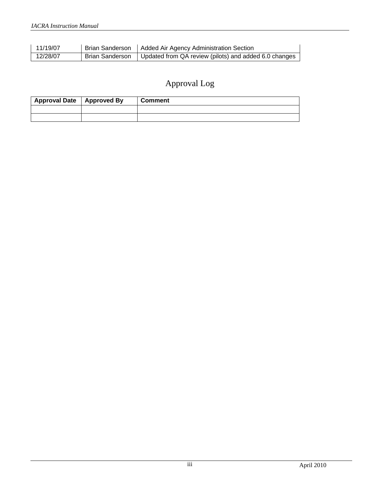| 11/19/07 | Brian Sanderson   Added Air Agency Administration Section               |
|----------|-------------------------------------------------------------------------|
| 12/28/07 | Brian Sanderson   Updated from QA review (pilots) and added 6.0 changes |

## Approval Log

| Approval Date   Approved By | <b>Comment</b> |
|-----------------------------|----------------|
|                             |                |
|                             |                |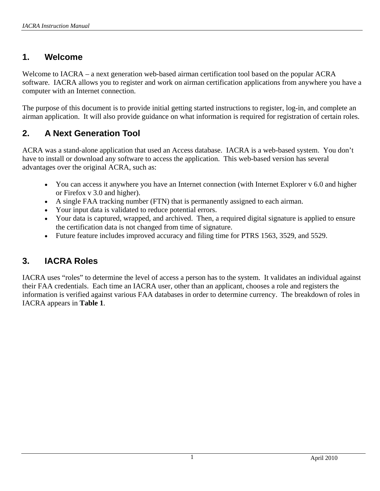## <span id="page-3-0"></span>**1. Welcome**

Welcome to IACRA – a next generation web-based airman certification tool based on the popular ACRA software. IACRA allows you to register and work on airman certification applications from anywhere you have a computer with an Internet connection.

The purpose of this document is to provide initial getting started instructions to register, log-in, and complete an airman application. It will also provide guidance on what information is required for registration of certain roles.

## **2. A Next Generation Tool**

ACRA was a stand-alone application that used an Access database. IACRA is a web-based system. You don't have to install or download any software to access the application. This web-based version has several advantages over the original ACRA, such as:

- You can access it anywhere you have an Internet connection (with Internet Explorer v 6.0 and higher or Firefox v 3.0 and higher).
- A single FAA tracking number (FTN) that is permanently assigned to each airman.
- Your input data is validated to reduce potential errors.
- Your data is captured, wrapped, and archived. Then, a required digital signature is applied to ensure the certification data is not changed from time of signature.
- Future feature includes improved accuracy and filing time for PTRS 1563, 3529, and 5529.

## **3. IACRA Roles**

IACRA uses "roles" to determine the level of access a person has to the system. It validates an individual against their FAA credentials. Each time an IACRA user, other than an applicant, chooses a role and registers the information is verified against various FAA databases in order to determine currency. The breakdown of roles in IACRA appears in **Table 1**.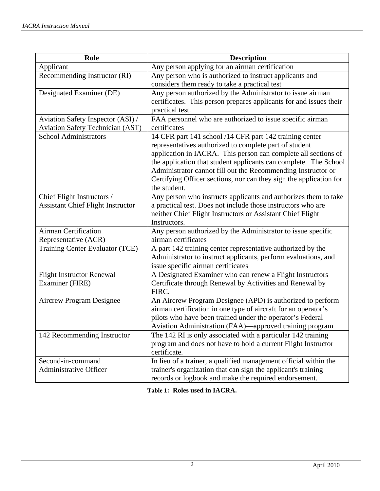<span id="page-4-0"></span>

| Role                                     | <b>Description</b>                                                 |  |  |
|------------------------------------------|--------------------------------------------------------------------|--|--|
| Applicant                                | Any person applying for an airman certification                    |  |  |
| Recommending Instructor (RI)             | Any person who is authorized to instruct applicants and            |  |  |
|                                          | considers them ready to take a practical test                      |  |  |
| Designated Examiner (DE)                 | Any person authorized by the Administrator to issue airman         |  |  |
|                                          | certificates. This person prepares applicants for and issues their |  |  |
|                                          | practical test.                                                    |  |  |
| Aviation Safety Inspector (ASI) /        | FAA personnel who are authorized to issue specific airman          |  |  |
| <b>Aviation Safety Technician (AST)</b>  | certificates                                                       |  |  |
| <b>School Administrators</b>             | 14 CFR part 141 school /14 CFR part 142 training center            |  |  |
|                                          | representatives authorized to complete part of student             |  |  |
|                                          | application in IACRA. This person can complete all sections of     |  |  |
|                                          | the application that student applicants can complete. The School   |  |  |
|                                          | Administrator cannot fill out the Recommending Instructor or       |  |  |
|                                          | Certifying Officer sections, nor can they sign the application for |  |  |
|                                          | the student.                                                       |  |  |
| Chief Flight Instructors /               | Any person who instructs applicants and authorizes them to take    |  |  |
| <b>Assistant Chief Flight Instructor</b> | a practical test. Does not include those instructors who are       |  |  |
|                                          | neither Chief Flight Instructors or Assistant Chief Flight         |  |  |
|                                          | Instructors.                                                       |  |  |
| Airman Certification                     | Any person authorized by the Administrator to issue specific       |  |  |
| Representative (ACR)                     | airman certificates                                                |  |  |
| Training Center Evaluator (TCE)          | A part 142 training center representative authorized by the        |  |  |
|                                          | Administrator to instruct applicants, perform evaluations, and     |  |  |
|                                          | issue specific airman certificates                                 |  |  |
| <b>Flight Instructor Renewal</b>         | A Designated Examiner who can renew a Flight Instructors           |  |  |
| Examiner (FIRE)                          | Certificate through Renewal by Activities and Renewal by           |  |  |
|                                          | FIRC.                                                              |  |  |
| Aircrew Program Designee                 | An Aircrew Program Designee (APD) is authorized to perform         |  |  |
|                                          | airman certification in one type of aircraft for an operator's     |  |  |
|                                          | pilots who have been trained under the operator's Federal          |  |  |
|                                          | Aviation Administration (FAA)—approved training program            |  |  |
| 142 Recommending Instructor              | The 142 RI is only associated with a particular 142 training       |  |  |
|                                          | program and does not have to hold a current Flight Instructor      |  |  |
|                                          | certificate.                                                       |  |  |
| Second-in-command                        | In lieu of a trainer, a qualified management official within the   |  |  |
| <b>Administrative Officer</b>            | trainer's organization that can sign the applicant's training      |  |  |
|                                          | records or logbook and make the required endorsement.              |  |  |

**Table 1: Roles used in IACRA.**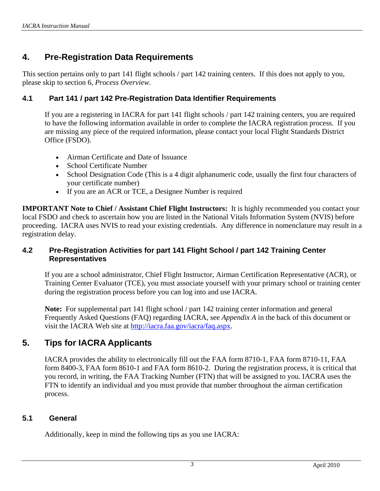## <span id="page-5-0"></span>**4. Pre-Registration Data Requirements**

This section pertains only to part 141 flight schools / part 142 training centers. If this does not apply to you, please skip to section 6, *Process Overview*.

### **4.1 Part 141 / part 142 Pre-Registration Data Identifier Requirements**

If you are a registering in IACRA for part 141 flight schools / part 142 training centers, you are required to have the following information available in order to complete the IACRA registration process. If you are missing any piece of the required information, please contact your local Flight Standards District Office (FSDO).

- Airman Certificate and Date of Issuance
- School Certificate Number
- School Designation Code (This is a 4 digit alphanumeric code, usually the first four characters of your certificate number)
- If you are an ACR or TCE, a Designee Number is required

**IMPORTANT Note to Chief / Assistant Chief Flight Instructors:** It is highly recommended you contact your local FSDO and check to ascertain how you are listed in the National Vitals Information System (NVIS) before proceeding. IACRA uses NVIS to read your existing credentials. Any difference in nomenclature may result in a registration delay.

#### **4.2 Pre-Registration Activities for part 141 Flight School / part 142 Training Center Representatives**

If you are a school administrator, Chief Flight Instructor, Airman Certification Representative (ACR), or Training Center Evaluator (TCE), you must associate yourself with your primary school or training center during the registration process before you can log into and use IACRA.

**Note:** For supplemental part 141 flight school / part 142 training center information and general Frequently Asked Questions (FAQ) regarding IACRA, see *Appendix A* in the back of this document or visit the IACRA Web site at [http://iacra.faa.gov/iacra/faq.aspx.](http://iacra.faa.gov/iacra/faq.aspx)

## **5. Tips for IACRA Applicants**

IACRA provides the ability to electronically fill out the FAA form 8710-1, FAA form 8710-11, FAA form 8400-3, FAA form 8610-1 and FAA form 8610-2. During the registration process, it is critical that you record, in writing, the FAA Tracking Number (FTN) that will be assigned to you. IACRA uses the FTN to identify an individual and you must provide that number throughout the airman certification process.

#### **5.1 General**

Additionally, keep in mind the following tips as you use IACRA: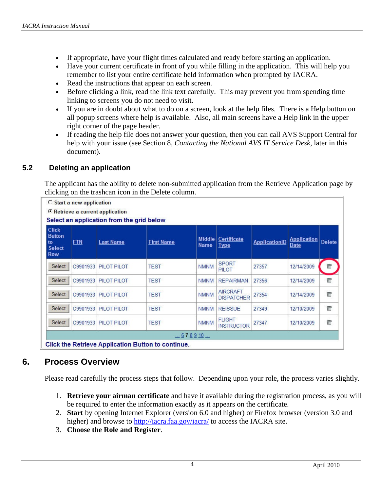- <span id="page-6-0"></span>• If appropriate, have your flight times calculated and ready before starting an application.
- Have your current certificate in front of you while filling in the application. This will help you remember to list your entire certificate held information when prompted by IACRA.
- Read the instructions that appear on each screen.
- Before clicking a link, read the link text carefully. This may prevent you from spending time linking to screens you do not need to visit.
- If you are in doubt about what to do on a screen, look at the help files. There is a Help button on all popup screens where help is available. Also, all main screens have a Help link in the upper right corner of the page header.
- If reading the help file does not answer your question, then you can call AVS Support Central for help with your issue (see Section 8, *Contacting the National AVS IT Service Desk*, later in this document).

### **5.2 Deleting an application**

The applicant has the ability to delete non-submitted application from the Retrieve Application page by clicking on the trashcan icon in the Delete column.

|                                                                    | <b>Start a new application</b>                     |                    |                   |                              |                                      |                      |                            |               |  |
|--------------------------------------------------------------------|----------------------------------------------------|--------------------|-------------------|------------------------------|--------------------------------------|----------------------|----------------------------|---------------|--|
|                                                                    | <sup>©</sup> Retrieve a current application        |                    |                   |                              |                                      |                      |                            |               |  |
|                                                                    | Select an application from the grid below          |                    |                   |                              |                                      |                      |                            |               |  |
| <b>Click</b><br><b>Button</b><br>to<br><b>Select</b><br><b>Row</b> | <b>FTN</b>                                         | <b>Last Name</b>   | <b>First Name</b> | <b>Middle</b><br><b>Name</b> | Certificate<br><b>Type</b>           | <b>ApplicationID</b> | <b>Application</b><br>Date | <b>Delete</b> |  |
| <b>Select</b>                                                      | C9901933                                           | PILOT PILOT        | <b>TEST</b>       | <b>NMNM</b>                  | <b>SPORT</b><br>PILOT                | 27357                | 12/14/2009                 | 命             |  |
| Select                                                             | C9901933                                           | PILOT PILOT        | <b>TEST</b>       | <b>NMNM</b>                  | <b>REPAIRMAN</b>                     | 27356                | 12/14/2009                 | 霝             |  |
| Select                                                             | C9901933                                           | PILOT PILOT        | <b>TEST</b>       | <b>NMNM</b>                  | <b>AIRCRAFT</b><br><b>DISPATCHER</b> | 27354                | 12/14/2009                 | 霝             |  |
| Select                                                             | C9901933                                           | <b>PILOT PILOT</b> | <b>TEST</b>       | <b>NMNM</b>                  | <b>REISSUE</b>                       | 27349                | 12/10/2009                 | 命             |  |
| Select                                                             | C9901933                                           | PILOT PILOT        | <b>TEST</b>       | <b>NMNM</b>                  | <b>FLIGHT</b><br><b>INSTRUCTOR</b>   | 27347                | 12/10/2009                 | 霝             |  |
| 678910                                                             |                                                    |                    |                   |                              |                                      |                      |                            |               |  |
|                                                                    | Click the Retrieve Application Button to continue. |                    |                   |                              |                                      |                      |                            |               |  |

## **6. Process Overview**

Please read carefully the process steps that follow. Depending upon your role, the process varies slightly.

- 1. **Retrieve your airman certificate** and have it available during the registration process, as you will be required to enter the information exactly as it appears on the certificate.
- 2. **Start** by opening Internet Explorer (version 6.0 and higher) or Firefox browser (version 3.0 and higher) and browse to http://iacra.faa.gov/iacra/ to access the IACRA site.
- 3. **Choose the Role and Register**.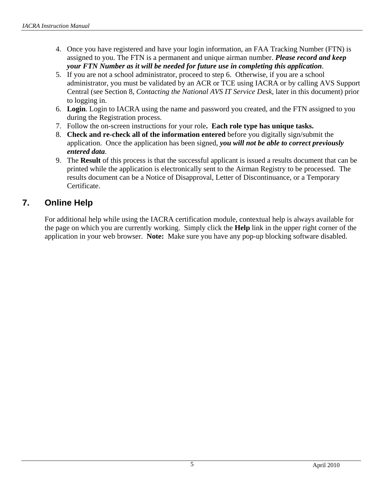- <span id="page-7-0"></span>4. Once you have registered and have your login information, an FAA Tracking Number (FTN) is assigned to you. The FTN is a permanent and unique airman number. *Please record and keep your FTN Number as it will be needed for future use in completing this application*.
- 5. If you are not a school administrator, proceed to step 6. Otherwise, if you are a school administrator, you must be validated by an ACR or TCE using IACRA or by calling AVS Support Central (see Section 8, *Contacting the National AVS IT Service Desk*, later in this document) prior to logging in.
- 6. **Login**. Login to IACRA using the name and password you created, and the FTN assigned to you during the Registration process.
- 7. Follow the on-screen instructions for your role**. Each role type has unique tasks.**
- 8. **Check and re-check all of the information entered** before you digitally sign/submit the application. Once the application has been signed, *you will not be able to correct previously entered data*.
- 9. The **Result** of this process is that the successful applicant is issued a results document that can be printed while the application is electronically sent to the Airman Registry to be processed. The results document can be a Notice of Disapproval, Letter of Discontinuance, or a Temporary Certificate.

## **7. Online Help**

For additional help while using the IACRA certification module, contextual help is always available for the page on which you are currently working. Simply click the **Help** link in the upper right corner of the application in your web browser. **Note:** Make sure you have any pop-up blocking software disabled.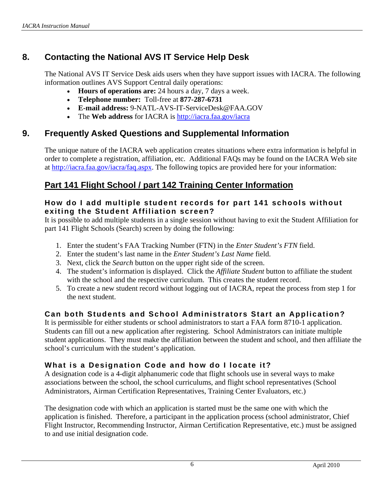## <span id="page-8-0"></span>**8. Contacting the National AVS IT Service Help Desk**

The National AVS IT Service Desk aids users when they have support issues with IACRA. The following information outlines AVS Support Central daily operations:

- **Hours of operations are:** 24 hours a day, 7 days a week.
- **Telephone number:** Toll-free at **877-287-6731**
- **E-mail address:** 9-NATL-AVS-IT-ServiceDesk@FAA.GOV
- The **Web address** for IACRA is<http://iacra.faa.gov/iacra>

## **9. Frequently Asked Questions and Supplemental Information**

The unique nature of the IACRA web application creates situations where extra information is helpful in order to complete a registration, affiliation, etc. Additional FAQs may be found on the IACRA Web site at [http://iacra.faa.gov/iacra/faq.aspx.](http://iacra.faa.gov/iacra/faq.aspx) The following topics are provided here for your information:

## **Part 141 Flight School / part 142 Training Center Information**

#### **How do I add multiple student records for part 141 schools without exiting the Student Affiliation screen?**

It is possible to add multiple students in a single session without having to exit the Student Affiliation for part 141 Flight Schools (Search) screen by doing the following:

- 1. Enter the student's FAA Tracking Number (FTN) in the *Enter Student's FTN* field.
- 2. Enter the student's last name in the *Enter Student's Last Name* field.
- 3. Next, click the *Search* button on the upper right side of the screen.
- 4. The student's information is displayed. Click the *Affiliate Student* button to affiliate the student with the school and the respective curriculum. This creates the student record.
- 5. To create a new student record without logging out of IACRA, repeat the process from step 1 for the next student.

## **Can both Students and School Administrators Start an Application?**

It is permissible for either students or school administrators to start a FAA form 8710-1 application. Students can fill out a new application after registering. School Administrators can initiate multiple student applications. They must make the affiliation between the student and school, and then affiliate the school's curriculum with the student's application.

## **What is a Designation Code and how do I locate it?**

A designation code is a 4-digit alphanumeric code that flight schools use in several ways to make associations between the school, the school curriculums, and flight school representatives (School Administrators, Airman Certification Representatives, Training Center Evaluators, etc.)

The designation code with which an application is started must be the same one with which the application is finished. Therefore, a participant in the application process (school administrator, Chief Flight Instructor, Recommending Instructor, Airman Certification Representative, etc.) must be assigned to and use initial designation code.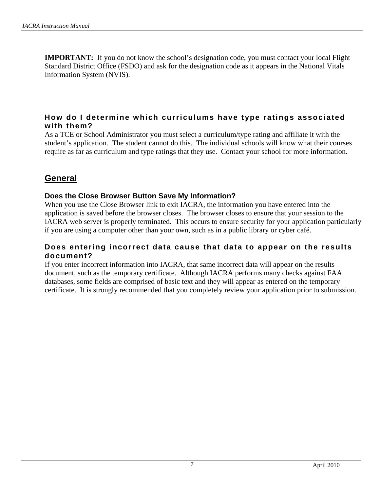**IMPORTANT:** If you do not know the school's designation code, you must contact your local Flight Standard District Office (FSDO) and ask for the designation code as it appears in the National Vitals Information System (NVIS).

### **How do I determine which curriculums have type ratings associated with them?**

As a TCE or School Administrator you must select a curriculum/type rating and affiliate it with the student's application. The student cannot do this. The individual schools will know what their courses require as far as curriculum and type ratings that they use. Contact your school for more information.

## **General**

#### **Does the Close Browser Button Save My Information?**

When you use the Close Browser link to exit IACRA, the information you have entered into the application is saved before the browser closes. The browser closes to ensure that your session to the IACRA web server is properly terminated. This occurs to ensure security for your application particularly if you are using a computer other than your own, such as in a public library or cyber café.

#### **Does entering incorrect data cause that data to appear on the results document?**

If you enter incorrect information into IACRA, that same incorrect data will appear on the results document, such as the temporary certificate. Although IACRA performs many checks against FAA databases, some fields are comprised of basic text and they will appear as entered on the temporary certificate. It is strongly recommended that you completely review your application prior to submission.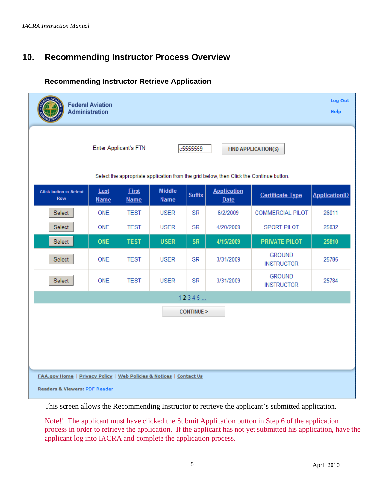## <span id="page-10-0"></span>**10. Recommending Instructor Process Overview**

### **Recommending Instructor Retrieve Application**

|                                                                                                      | <b>Federal Aviation</b><br><b>Administration</b> |                             |                              |                      |                                                                                         |                                    | Log Out<br><b>Help</b> |
|------------------------------------------------------------------------------------------------------|--------------------------------------------------|-----------------------------|------------------------------|----------------------|-----------------------------------------------------------------------------------------|------------------------------------|------------------------|
| <b>Enter Applicant's FTN</b><br>c5555559<br><b>FIND APPLICATION(S)</b>                               |                                                  |                             |                              |                      |                                                                                         |                                    |                        |
|                                                                                                      |                                                  |                             |                              |                      | Select the appropriate application from the grid below, then Click the Continue button. |                                    |                        |
| <b>Click button to Select</b><br><b>Row</b>                                                          | Last<br><b>Name</b>                              | <b>First</b><br><b>Name</b> | <b>Middle</b><br><b>Name</b> | <b>Suffix</b>        | <b>Application</b><br><b>Date</b>                                                       | <b>Certificate Type</b>            | <b>ApplicationID</b>   |
| Select                                                                                               | ONE                                              | <b>TEST</b>                 | <b>USER</b>                  | <b>SR</b>            | 6/2/2009                                                                                | <b>COMMERCIAL PILOT</b>            | 26011                  |
| Select                                                                                               | <b>ONE</b>                                       | <b>TEST</b>                 | <b>USER</b>                  | <b>SR</b>            | 4/20/2009                                                                               | <b>SPORT PILOT</b>                 | 25832                  |
| Select                                                                                               | <b>ONE</b>                                       | <b>TEST</b>                 | <b>USER</b>                  | <b>SR</b>            | 4/15/2009                                                                               | <b>PRIVATE PILOT</b>               | 25810                  |
| Select                                                                                               | ONE                                              | <b>TEST</b>                 | <b>USER</b>                  | <b>SR</b>            | 3/31/2009                                                                               | <b>GROUND</b><br><b>INSTRUCTOR</b> | 25785                  |
| Select                                                                                               | ONE                                              | <b>TEST</b>                 | <b>USER</b>                  | <b>SR</b>            | 3/31/2009                                                                               | <b>GROUND</b><br><b>INSTRUCTOR</b> | 25784                  |
|                                                                                                      |                                                  |                             |                              | 12345                |                                                                                         |                                    |                        |
|                                                                                                      |                                                  |                             |                              | <b>CONTINUE &gt;</b> |                                                                                         |                                    |                        |
|                                                                                                      |                                                  |                             |                              |                      |                                                                                         |                                    |                        |
|                                                                                                      |                                                  |                             |                              |                      |                                                                                         |                                    |                        |
|                                                                                                      |                                                  |                             |                              |                      |                                                                                         |                                    |                        |
| FAA.gov Home   Privacy Policy   Web Policies & Notices   Contact Us<br>Readers & Viewers: PDF Reader |                                                  |                             |                              |                      |                                                                                         |                                    |                        |

This screen allows the Recommending Instructor to retrieve the applicant's submitted application.

Note!! The applicant must have clicked the Submit Application button in Step 6 of the application process in order to retrieve the application. If the applicant has not yet submitted his application, have the applicant log into IACRA and complete the application process.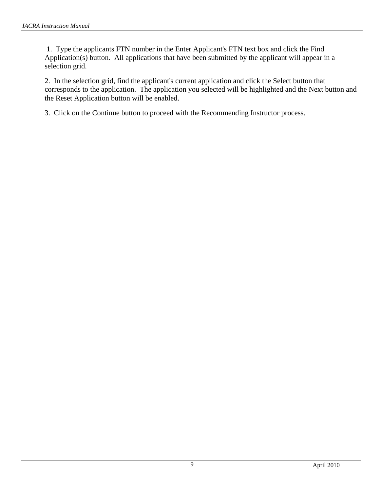1. Type the applicants FTN number in the Enter Applicant's FTN text box and click the Find Application(s) button. All applications that have been submitted by the applicant will appear in a selection grid.

2. In the selection grid, find the applicant's current application and click the Select button that corresponds to the application. The application you selected will be highlighted and the Next button and the Reset Application button will be enabled.

3. Click on the Continue button to proceed with the Recommending Instructor process.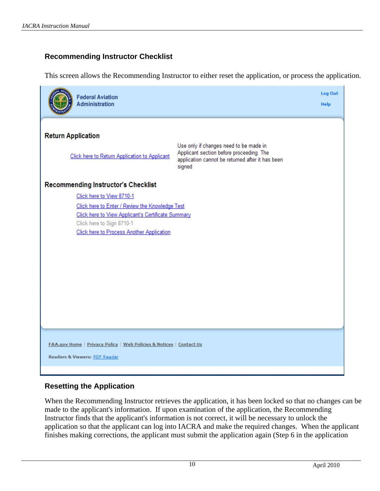### <span id="page-12-0"></span>**Recommending Instructor Checklist**

This screen allows the Recommending Instructor to either reset the application, or process the application.



#### **Resetting the Application**

When the Recommending Instructor retrieves the application, it has been locked so that no changes can be made to the applicant's information. If upon examination of the application, the Recommending Instructor finds that the applicant's information is not correct, it will be necessary to unlock the application so that the applicant can log into IACRA and make the required changes. When the applicant finishes making corrections, the applicant must submit the application again (Step 6 in the application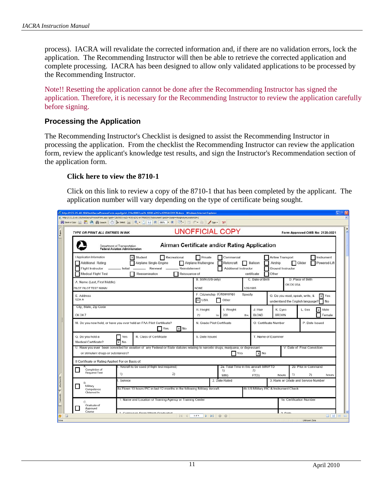<span id="page-13-0"></span>process). IACRA will revalidate the corrected information and, if there are no validation errors, lock the application. The Recommending Instructor will then be able to retrieve the corrected application and complete processing. IACRA has been designed to allow only validated applications to be processed by the Recommending Instructor.

Note!! Resetting the application cannot be done after the Recommending Instructor has signed the application. Therefore, it is necessary for the Recommending Instructor to review the application carefully before signing.

#### **Processing the Application**

The Recommending Instructor's Checklist is designed to assist the Recommending Instructor in processing the application. From the checklist the Recommending Instructor can review the application form, review the applicant's knowledge test results, and sign the Instructor's Recommendation section of the application form.

#### **Click here to view the 8710-1**

Click on this link to review a copy of the 8710-1 that has been completed by the applicant. The application number will vary depending on the type of certificate being sought.

| C http://177.25.68.106/test/iacra/ProcessForm.aspx?guid=72bc9083-ea2b-4030-a242-e47ff6b53917Bdocu - Windows Internet Explorer<br>$-10$                                                                                                                              |                                                                                                                                                                                 |             |                                       |                                                           |                                                                                                                                                                                                                      |                                                                                 |                    |  |
|---------------------------------------------------------------------------------------------------------------------------------------------------------------------------------------------------------------------------------------------------------------------|---------------------------------------------------------------------------------------------------------------------------------------------------------------------------------|-------------|---------------------------------------|-----------------------------------------------------------|----------------------------------------------------------------------------------------------------------------------------------------------------------------------------------------------------------------------|---------------------------------------------------------------------------------|--------------------|--|
| iP http://172.25.68.106/test/lacra/ProcessForm.aspx?guid=72bc9083-ea2b-4030-a242-e47ff6b539178documentType3d=18sign=08signatureLocationId=2<br>日 Save a Copy ( ) A ( ) (B Search   ①   Di Search   ①       →   ①   1897   ④   □   □   ①   ①   ①   ①   ②   →   △   △ |                                                                                                                                                                                 |             |                                       |                                                           |                                                                                                                                                                                                                      |                                                                                 |                    |  |
| TYPE OR PRINT ALL ENTRIES IN INK                                                                                                                                                                                                                                    | <b>UNOFFICIAL COPY</b>                                                                                                                                                          |             |                                       |                                                           | Form Approved OMB No: 2120-0021                                                                                                                                                                                      |                                                                                 |                    |  |
|                                                                                                                                                                                                                                                                     | Airman Certificate and/or Rating Application<br>Department of Transportation<br><b>Federal Aviation Administration</b>                                                          |             |                                       |                                                           |                                                                                                                                                                                                                      |                                                                                 |                    |  |
| I Application Information<br>Additional Rating<br><b>Flight Instructor</b><br><b>Medical Flight Test</b>                                                                                                                                                            | Recreational<br>X Student<br>Airplane Single-Engine<br>Renewal __________ Reinstatement<br>$-$ Initial $-$<br>Reissuance of<br>Reexamination                                    |             |                                       |                                                           | Private<br>Commercial<br>Airline Transport<br>Instrument<br>Airplane Multiengine<br>Rotorcraft<br>Balloon<br>Glider<br>Powered-Lift<br>Airship<br>Additional Instructor<br>Ground Instructor<br>Other<br>certificate |                                                                                 |                    |  |
| A. Name (Last, First Middle)<br>PILOT PILOT TEST NMNM                                                                                                                                                                                                               |                                                                                                                                                                                 | <b>NONE</b> | B. SSN (US only)                      | C. Date of Birth<br>1/29/1965                             |                                                                                                                                                                                                                      | D. Place of Birth<br>OK OK USA                                                  |                    |  |
| E. Address<br>1234 A                                                                                                                                                                                                                                                |                                                                                                                                                                                 |             |                                       | F. Citizenship (Citizenship)<br>Specify<br>X USA<br>Other |                                                                                                                                                                                                                      | G. Do you read, speak, write, &<br>X Yes<br>understand the English language? No |                    |  |
| OK OK 7                                                                                                                                                                                                                                                             | City, State, Zip Code                                                                                                                                                           |             |                                       | J. Hair<br><b>BLOND</b><br>lbs.                           | K. Eyes<br><b>BROWN</b>                                                                                                                                                                                              | L. Sex                                                                          | $x$ Male<br>Female |  |
|                                                                                                                                                                                                                                                                     | M. Do you now hold, or have you ever held an FAA Pilot Certificate?<br>$\times$ No<br>Yes                                                                                       |             |                                       | N. Grade Pilot Certificate<br>O. Certificate Number       |                                                                                                                                                                                                                      |                                                                                 | P. Date Issued     |  |
| Q. Do you hold a<br>Medical Certificate?                                                                                                                                                                                                                            | R. Class of Certificate<br>Yes<br>$x$ No                                                                                                                                        |             | S. Date Issued<br>T. Name of Examiner |                                                           |                                                                                                                                                                                                                      |                                                                                 |                    |  |
|                                                                                                                                                                                                                                                                     | U. Have you ever been convicted for violation of any Federal or State statutes relating to narcotic drugs, marijuana, or depressant<br>Yes<br>or stimulant drugs or substances? |             |                                       |                                                           | $X$ No                                                                                                                                                                                                               | V. Date of Final Conviction                                                     |                    |  |
| Completion of<br>Required Test                                                                                                                                                                                                                                      | Il Certificate or Rating Applied For on Basis of:<br>. Aircraft to be used (if flight test required)<br>1)<br>2)                                                                |             |                                       | 2a. Total Time in this aircraft SIM/FTD<br>2)<br>1)       |                                                                                                                                                                                                                      | 2b. Pilot in Command                                                            |                    |  |
| <b>B.</b><br>Military                                                                                                                                                                                                                                               | Service                                                                                                                                                                         |             | FTD)<br>SIM)<br>2. Date Rated         |                                                           | hours                                                                                                                                                                                                                | 21<br>hours<br>3. Rank or Grade and Service Number                              |                    |  |
| Competence<br>Obtained In                                                                                                                                                                                                                                           | 4a. Flown 10 hours PIC in last 12 months in the following Military Aircraft.<br>1. Name and Location of Training Agency or Training Center                                      |             | 4b.US Military PIC & Instrument Check |                                                           |                                                                                                                                                                                                                      | 1a. Certification Number                                                        |                    |  |
| Graduate of<br>Approved<br>Course                                                                                                                                                                                                                                   | 2. Curriculum Eram Which Craduatad                                                                                                                                              |             |                                       |                                                           | 2 Date                                                                                                                                                                                                               |                                                                                 |                    |  |
| $\equiv$<br>Done                                                                                                                                                                                                                                                    |                                                                                                                                                                                 | 1 of 4      | $\triangleright \ \mathbb{N} \ 0 \ 0$ |                                                           |                                                                                                                                                                                                                      | <b>Linknown Zone</b>                                                            | <b>BEK 80</b>      |  |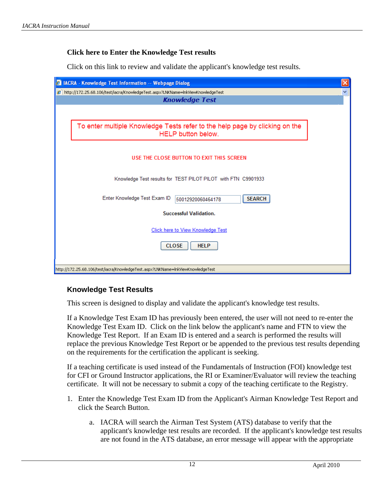#### <span id="page-14-0"></span>**Click here to Enter the Knowledge Test results**

Click on this link to review and validate the applicant's knowledge test results.

| 2 IACRA - Knowledge Test Information -- Webpage Dialog                                                     |
|------------------------------------------------------------------------------------------------------------|
| 2 http://172.25.68.106/test/iacra/KnowledgeTest.aspx?LNKName=InkViewKnowledgeTest<br><b>Knowledge Test</b> |
|                                                                                                            |
| To enter multiple Knowledge Tests refer to the help page by clicking on the<br>HELP button below.          |
| USE THE CLOSE BUTTON TO EXIT THIS SCREEN                                                                   |
| Knowledge Test results for TEST PILOT PILOT with FTN C9901933                                              |
| Enter Knowledge Test Exam ID<br><b>SEARCH</b><br>50012920060464178                                         |
| <b>Successful Validation.</b>                                                                              |
| Click here to View Knowledge Test                                                                          |
| <b>CLOSE</b><br><b>HELP</b>                                                                                |
|                                                                                                            |

#### **Knowledge Test Results**

This screen is designed to display and validate the applicant's knowledge test results.

If a Knowledge Test Exam ID has previously been entered, the user will not need to re-enter the Knowledge Test Exam ID. Click on the link below the applicant's name and FTN to view the Knowledge Test Report. If an Exam ID is entered and a search is performed the results will replace the previous Knowledge Test Report or be appended to the previous test results depending on the requirements for the certification the applicant is seeking.

If a teaching certificate is used instead of the Fundamentals of Instruction (FOI) knowledge test for CFI or Ground Instructor applications, the RI or Examiner/Evaluator will review the teaching certificate. It will not be necessary to submit a copy of the teaching certificate to the Registry.

- 1. Enter the Knowledge Test Exam ID from the Applicant's Airman Knowledge Test Report and click the Search Button.
	- a. IACRA will search the Airman Test System (ATS) database to verify that the applicant's knowledge test results are recorded. If the applicant's knowledge test results are not found in the ATS database, an error message will appear with the appropriate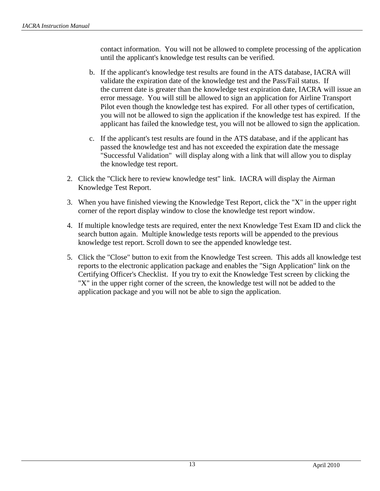contact information. You will not be allowed to complete processing of the application until the applicant's knowledge test results can be verified.

- b. If the applicant's knowledge test results are found in the ATS database, IACRA will validate the expiration date of the knowledge test and the Pass/Fail status. If the current date is greater than the knowledge test expiration date, IACRA will issue an error message. You will still be allowed to sign an application for Airline Transport Pilot even though the knowledge test has expired. For all other types of certification, you will not be allowed to sign the application if the knowledge test has expired. If the applicant has failed the knowledge test, you will not be allowed to sign the application.
- c. If the applicant's test results are found in the ATS database, and if the applicant has passed the knowledge test and has not exceeded the expiration date the message "Successful Validation" will display along with a link that will allow you to display the knowledge test report.
- 2. Click the "Click here to review knowledge test" link. IACRA will display the Airman Knowledge Test Report.
- 3. When you have finished viewing the Knowledge Test Report, click the "X" in the upper right corner of the report display window to close the knowledge test report window.
- 4. If multiple knowledge tests are required, enter the next Knowledge Test Exam ID and click the search button again. Multiple knowledge tests reports will be appended to the previous knowledge test report. Scroll down to see the appended knowledge test.
- 5. Click the "Close" button to exit from the Knowledge Test screen. This adds all knowledge test reports to the electronic application package and enables the "Sign Application" link on the Certifying Officer's Checklist. If you try to exit the Knowledge Test screen by clicking the "X" in the upper right corner of the screen, the knowledge test will not be added to the application package and you will not be able to sign the application.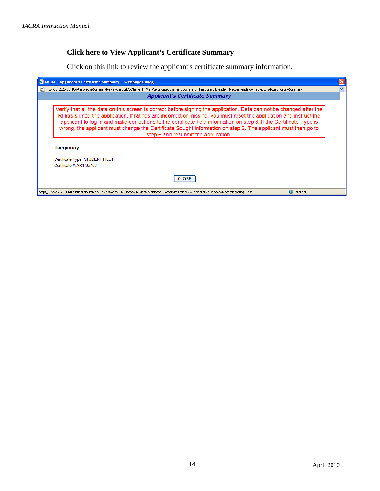### <span id="page-16-0"></span>**Click here to View Applicant's Certificate Summary**

Click on this link to review the applicant's certificate summary information.

| <b>A IACRA - Applicant's Certificate Summary -- Webpage Dialog</b>                                                                                                                                                                                                                                                                                                                                                                                                                                                                                                                                                    | $\times$ |  |  |  |
|-----------------------------------------------------------------------------------------------------------------------------------------------------------------------------------------------------------------------------------------------------------------------------------------------------------------------------------------------------------------------------------------------------------------------------------------------------------------------------------------------------------------------------------------------------------------------------------------------------------------------|----------|--|--|--|
| 8 http://172.25.68.106/test/iacra/SummaryReview.aspx?LNKName=lnkViewCertificateSummary8Summary=Temporary8Header=Recommending+Instructors+Certificate+Summary                                                                                                                                                                                                                                                                                                                                                                                                                                                          |          |  |  |  |
| <b>Applicant's Certificate Summary</b>                                                                                                                                                                                                                                                                                                                                                                                                                                                                                                                                                                                |          |  |  |  |
| Verify that all the data on this screen is correct before signing the application. Data can not be changed after the<br>RI has signed the application. If ratings are incorrect or missing, you must reset the application and instruct the<br>applicant to log in and make corrections to the certificate held information on step 3. If the Certificate Type is<br>wrong, the applicant must change the Certificate Sought information on step 2. The applicant must then go to<br>step 6 and resubmit the application.<br>Temporary<br>Certificate Type: STUDENT PILOT<br>Certificate #: AR1733763<br><b>CLOSE</b> |          |  |  |  |
| http://172.25.68.106/test/iacra/SummaryReview.aspx?LNKName=InkViewCertificateSummary&Summary=Temporary&Header=Recommending+Inst<br>$\bigoplus$ Internet                                                                                                                                                                                                                                                                                                                                                                                                                                                               |          |  |  |  |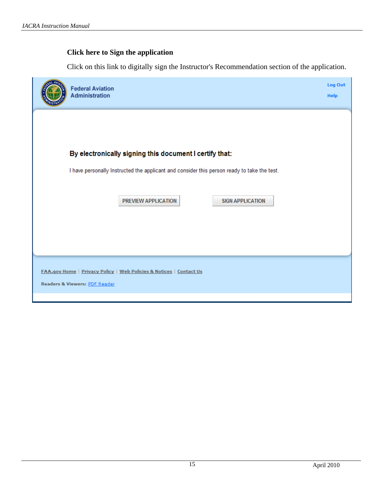### <span id="page-17-0"></span>**Click here to Sign the application**

Click on this link to digitally sign the Instructor's Recommendation section of the application.

| <b>Federal Aviation</b><br>Administration                                                            | Log Out<br><b>Help</b> |
|------------------------------------------------------------------------------------------------------|------------------------|
|                                                                                                      |                        |
| By electronically signing this document I certify that:                                              |                        |
| I have personally Instructed the applicant and consider this person ready to take the test.          |                        |
| PREVIEW APPLICATION<br><b>SIGN APPLICATION</b>                                                       |                        |
| FAA.gov Home   Privacy Policy   Web Policies & Notices   Contact Us<br>Readers & Viewers: PDF Reader |                        |